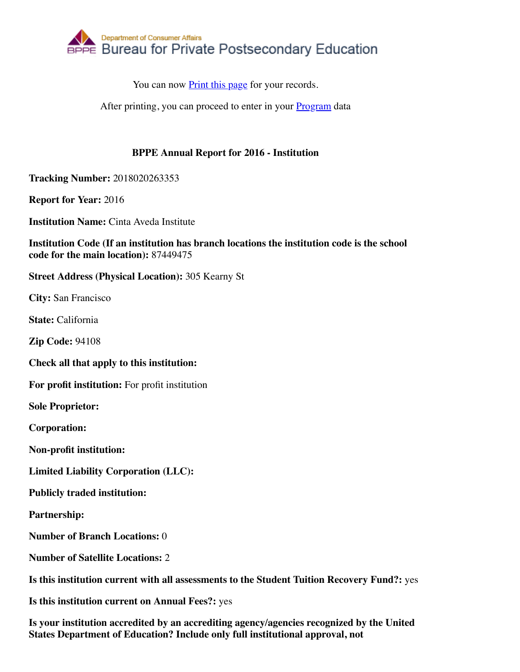

You can now Print this page for your records.

After printing, you can proceed to enter in your **Program** data

## **BPPE Annual Report for 2016 - Institution**

**Tracking Number:** 2018020263353

**Report for Year:** 2016

**Institution Name:** Cinta Aveda Institute

**Institution Code (If an institution has branch locations the institution code is the school code for the main location):** 87449475

**Street Address (Physical Location):** 305 Kearny St

**City:** San Francisco

**State:** California

**Zip Code:** 94108

**Check all that apply to this institution:**

**For profit institution:** For profit institution

**Sole Proprietor:**

**Corporation:**

**Non-profit institution:**

**Limited Liability Corporation (LLC):**

**Publicly traded institution:**

**Partnership:**

**Number of Branch Locations:** 0

**Number of Satellite Locations:** 2

**Is this institution current with all assessments to the Student Tuition Recovery Fund?:** yes

**Is this institution current on Annual Fees?:** yes

**Is your institution accredited by an accrediting agency/agencies recognized by the United States Department of Education? Include only full institutional approval, not**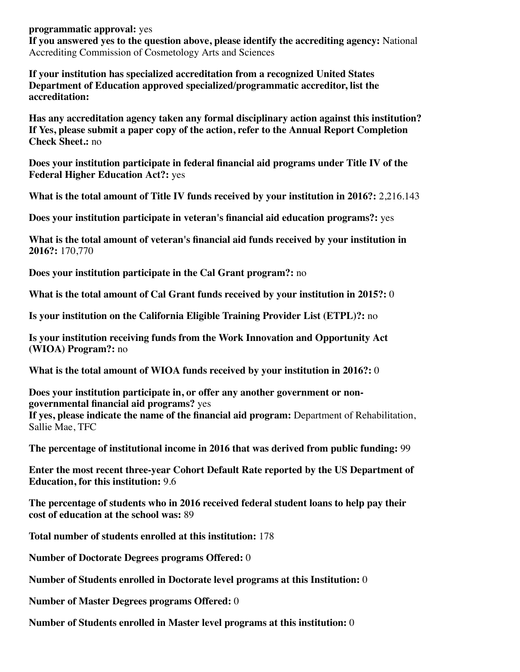**programmatic approval:** yes **If you answered yes to the question above, please identify the accrediting agency:** National Accrediting Commission of Cosmetology Arts and Sciences

**If your institution has specialized accreditation from a recognized United States Department of Education approved specialized/programmatic accreditor, list the accreditation:**

**Has any accreditation agency taken any formal disciplinary action against this institution? If Yes, please submit a paper copy of the action, refer to the Annual Report Completion Check Sheet.:** no

**Does your institution participate in federal financial aid programs under Title IV of the Federal Higher Education Act?:** yes

**What is the total amount of Title IV funds received by your institution in 2016?:** 2,216.143

**Does your institution participate in veteran's financial aid education programs?:** yes

**What is the total amount of veteran's financial aid funds received by your institution in 2016?:** 170,770

**Does your institution participate in the Cal Grant program?:** no

**What is the total amount of Cal Grant funds received by your institution in 2015?:** 0

**Is your institution on the California Eligible Training Provider List (ETPL)?:** no

**Is your institution receiving funds from the Work Innovation and Opportunity Act (WIOA) Program?:** no

**What is the total amount of WIOA funds received by your institution in 2016?:** 0

**Does your institution participate in, or offer any another government or nongovernmental financial aid programs?** yes

**If yes, please indicate the name of the financial aid program:** Department of Rehabilitation, Sallie Mae, TFC

**The percentage of institutional income in 2016 that was derived from public funding:** 99

**Enter the most recent three-year Cohort Default Rate reported by the US Department of Education, for this institution:** 9.6

**The percentage of students who in 2016 received federal student loans to help pay their cost of education at the school was:** 89

**Total number of students enrolled at this institution:** 178

**Number of Doctorate Degrees programs Offered:** 0

**Number of Students enrolled in Doctorate level programs at this Institution:** 0

**Number of Master Degrees programs Offered:** 0

**Number of Students enrolled in Master level programs at this institution:** 0